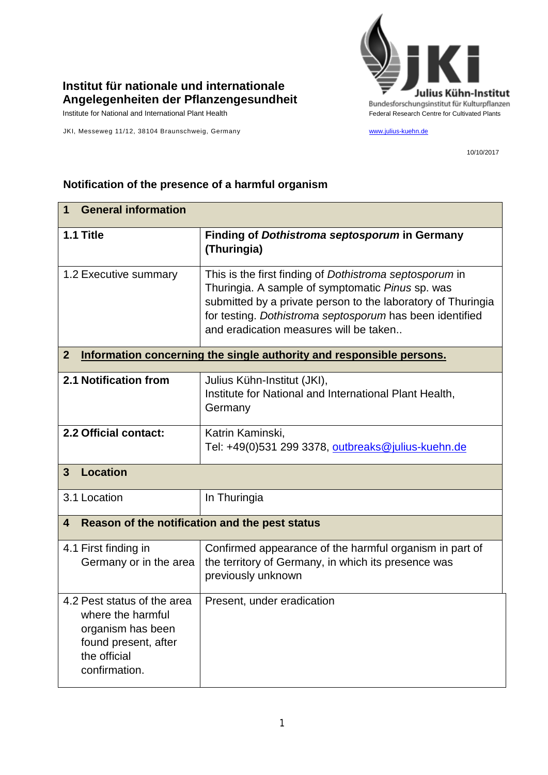

## **Institut für nationale und internationale Angelegenheiten der Pflanzengesundheit**

Institute for National and International Plant Health Feature And Theorem Federal Research Centre for Cultivated Plants

JKI, Messeweg 11/12, 38104 Braunschweig, Germany [www.julius-kuehn.de](http://www.julius-kuehn.de/)

10/10/2017

## **1 General information 1.1 Title Finding of** *Dothistroma septosporum* **in Germany (Thuringia)** 1.2 Executive summary This is the first finding of *Dothistroma septosporum* in Thuringia. A sample of symptomatic *Pinus* sp. was submitted by a private person to the laboratory of Thuringia for testing. *Dothistroma septosporum* has been identified and eradication measures will be taken.. **2 Information concerning the single authority and responsible persons. 2.1 Notification from** Julius Kühn-Institut (JKI), Institute for National and International Plant Health, **Germany 2.2 Official contact:** Katrin Kaminski, Tel: +49(0)531 299 3378, [outbreaks@julius-kuehn.de](mailto:outbreaks@julius-kuehn.de) **3 Location**  3.1 Location | In Thuringia **4 Reason of the notification and the pest status** 4.1 First finding in Germany or in the area Confirmed appearance of the harmful organism in part of the territory of Germany, in which its presence was previously unknown 4.2 Pest status of the area where the harmful organism has been found present, after the official confirmation. Present, under eradication

## **Notification of the presence of a harmful organism**